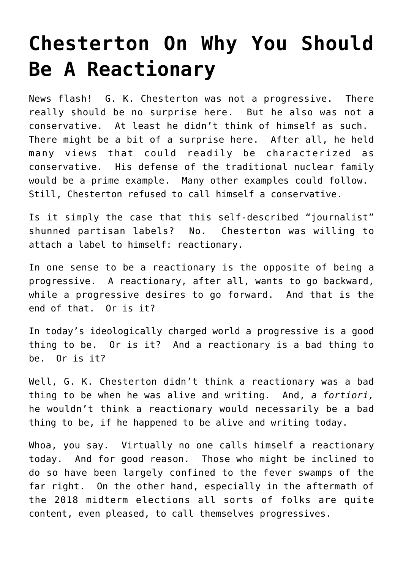## **[Chesterton On Why You Should](https://intellectualtakeout.org/2018/12/chesterton-on-why-you-should-be-a-reactionary/) [Be A Reactionary](https://intellectualtakeout.org/2018/12/chesterton-on-why-you-should-be-a-reactionary/)**

News flash! G. K. Chesterton was not a progressive. There really should be no surprise here. But he also was not a conservative. At least he didn't think of himself as such. There might be a bit of a surprise here. After all, he held many views that could readily be characterized as conservative. His defense of the traditional nuclear family would be a prime example. Many other examples could follow. Still, Chesterton refused to call himself a conservative.

Is it simply the case that this self-described "journalist" shunned partisan labels? No. Chesterton was willing to attach a label to himself: reactionary.

In one sense to be a reactionary is the opposite of being a progressive. A reactionary, after all, wants to go backward, while a progressive desires to go forward. And that is the end of that. Or is it?

In today's ideologically charged world a progressive is a good thing to be. Or is it? And a reactionary is a bad thing to be. Or is it?

Well, G. K. Chesterton didn't think a reactionary was a bad thing to be when he was alive and writing. And, *a fortiori,* he wouldn't think a reactionary would necessarily be a bad thing to be, if he happened to be alive and writing today.

Whoa, you say. Virtually no one calls himself a reactionary today. And for good reason. Those who might be inclined to do so have been largely confined to the fever swamps of the far right. On the other hand, especially in the aftermath of the 2018 midterm elections all sorts of folks are quite content, even pleased, to call themselves progressives.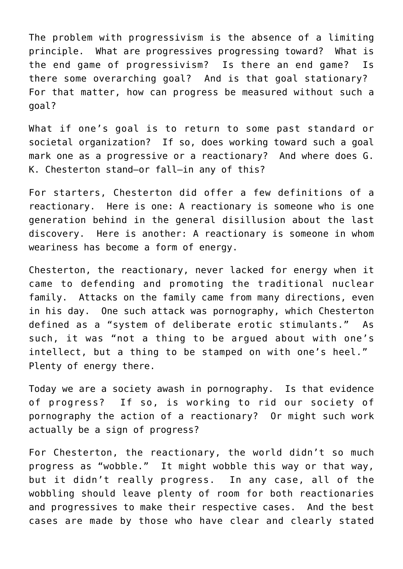The problem with progressivism is the absence of a limiting principle. What are progressives progressing toward? What is the end game of progressivism? Is there an end game? Is there some overarching goal? And is that goal stationary? For that matter, how can progress be measured without such a goal?

What if one's goal is to return to some past standard or societal organization? If so, does working toward such a goal mark one as a progressive or a reactionary? And where does G. K. Chesterton stand—or fall—in any of this?

For starters, Chesterton did offer a few definitions of a reactionary. Here is one: A reactionary is someone who is one generation behind in the general disillusion about the last discovery. Here is another: A reactionary is someone in whom weariness has become a form of energy.

Chesterton, the reactionary, never lacked for energy when it came to defending and promoting the traditional nuclear family. Attacks on the family came from many directions, even in his day. One such attack was pornography, which Chesterton defined as a "system of deliberate erotic stimulants." As such, it was "not a thing to be argued about with one's intellect, but a thing to be stamped on with one's heel." Plenty of energy there.

Today we are a society awash in pornography. Is that evidence of progress? If so, is working to rid our society of pornography the action of a reactionary? Or might such work actually be a sign of progress?

For Chesterton, the reactionary, the world didn't so much progress as "wobble." It might wobble this way or that way, but it didn't really progress. In any case, all of the wobbling should leave plenty of room for both reactionaries and progressives to make their respective cases. And the best cases are made by those who have clear and clearly stated